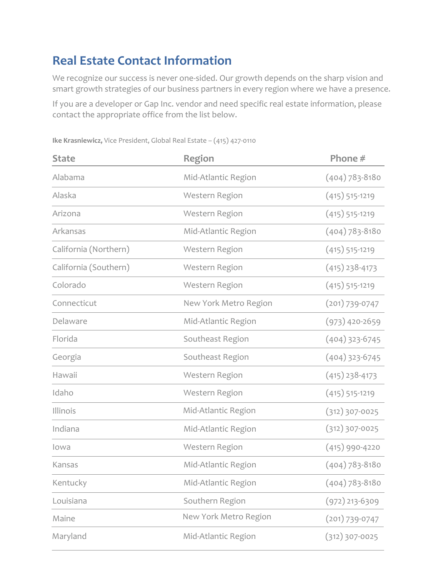## **Real Estate Contact Information**

We recognize our success is never one-sided. Our growth depends on the sharp vision and smart growth strategies of our business partners in every region where we have a presence.

If you are a developer or Gap Inc. vendor and need specific real estate information, please contact the appropriate office from the list below.

| <b>State</b>          | <b>Region</b>         | Phone #            |
|-----------------------|-----------------------|--------------------|
| Alabama               | Mid-Atlantic Region   | $(404)$ 783-8180   |
| Alaska                | Western Region        | $(415)$ 515-1219   |
| Arizona               | Western Region        | $(415)$ 515-1219   |
| Arkansas              | Mid-Atlantic Region   | $(404)$ 783-8180   |
| California (Northern) | Western Region        | $(415)$ 515-1219   |
| California (Southern) | Western Region        | $(415)$ 238-4173   |
| Colorado              | Western Region        | $(415)$ 515-1219   |
| Connecticut           | New York Metro Region | $(201) 739 - 0747$ |
| Delaware              | Mid-Atlantic Region   | $(973)$ 420-2659   |
| Florida               | Southeast Region      | $(404)$ 323-6745   |
| Georgia               | Southeast Region      | $(404)$ 323-6745   |
| Hawaii                | Western Region        | $(415)$ 238-4173   |
| Idaho                 | Western Region        | $(415)$ 515-1219   |
| Illinois              | Mid-Atlantic Region   | $(312)307-0025$    |
| Indiana               | Mid-Atlantic Region   | $(312)307-0025$    |
| lowa                  | Western Region        | $(415)$ 990-4220   |
| Kansas                | Mid-Atlantic Region   | $(404)$ 783-8180   |
| Kentucky              | Mid-Atlantic Region   | $(404)$ 783-8180   |
| Louisiana             | Southern Region       | $(972)$ 213-6309   |
| Maine                 | New York Metro Region | $(201) 739 - 0747$ |
| Maryland              | Mid-Atlantic Region   | $(312)307-0025$    |
|                       |                       |                    |

**Ike Krasniewicz,** Vice President, Global Real Estate – (415) 427-0110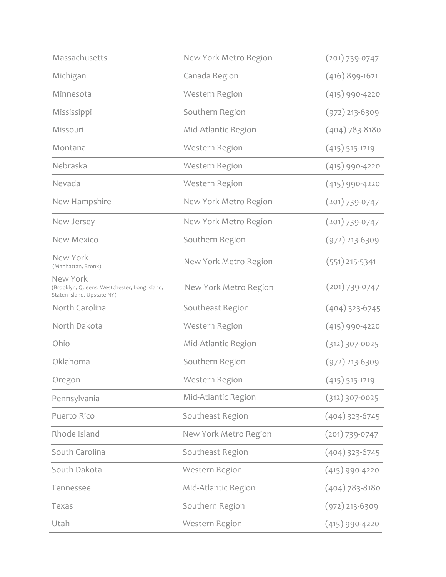| Massachusetts                                                                          | New York Metro Region | $(201) 739 - 0747$ |
|----------------------------------------------------------------------------------------|-----------------------|--------------------|
| Michigan                                                                               | Canada Region         | $(416)$ 899-1621   |
| Minnesota                                                                              | Western Region        | $(415)$ 990-4220   |
| Mississippi                                                                            | Southern Region       | $(972)$ 213-6309   |
| Missouri                                                                               | Mid-Atlantic Region   | $(404)$ 783-8180   |
| Montana                                                                                | Western Region        | $(415)$ 515-1219   |
| Nebraska                                                                               | Western Region        | $(415)$ 990-4220   |
| Nevada                                                                                 | Western Region        | $(415)$ 990-4220   |
| New Hampshire                                                                          | New York Metro Region | $(201) 739 - 0747$ |
| New Jersey                                                                             | New York Metro Region | $(201) 739 - 0747$ |
| <b>New Mexico</b>                                                                      | Southern Region       | $(972)$ 213-6309   |
| New York<br>(Manhattan, Bronx)                                                         | New York Metro Region | $(551)$ 215-5341   |
| New York<br>(Brooklyn, Queens, Westchester, Long Island,<br>Staten Island, Upstate NY) | New York Metro Region | $(201) 739 - 0747$ |
| North Carolina                                                                         | Southeast Region      | $(404)$ 323-6745   |
| North Dakota                                                                           | Western Region        | $(415)$ 990-4220   |
| Ohio                                                                                   | Mid-Atlantic Region   | $(312)307-0025$    |
| Oklahoma                                                                               | Southern Region       | $(972)$ 213-6309   |
| Oregon                                                                                 | Western Region        | $(415)$ 515-1219   |
| Pennsylvania                                                                           | Mid-Atlantic Region   | $(312)307-0025$    |
| Puerto Rico                                                                            | Southeast Region      | $(404)$ 323-6745   |
| Rhode Island                                                                           | New York Metro Region | $(201) 739 - 0747$ |
| South Carolina                                                                         | Southeast Region      | $(404)$ 323-6745   |
| South Dakota                                                                           | Western Region        | $(415)$ 990-4220   |
| Tennessee                                                                              | Mid-Atlantic Region   | $(404)$ 783-8180   |
| Texas                                                                                  | Southern Region       | $(972)$ 213-6309   |
| Utah                                                                                   | Western Region        | $(415)$ 990-4220   |